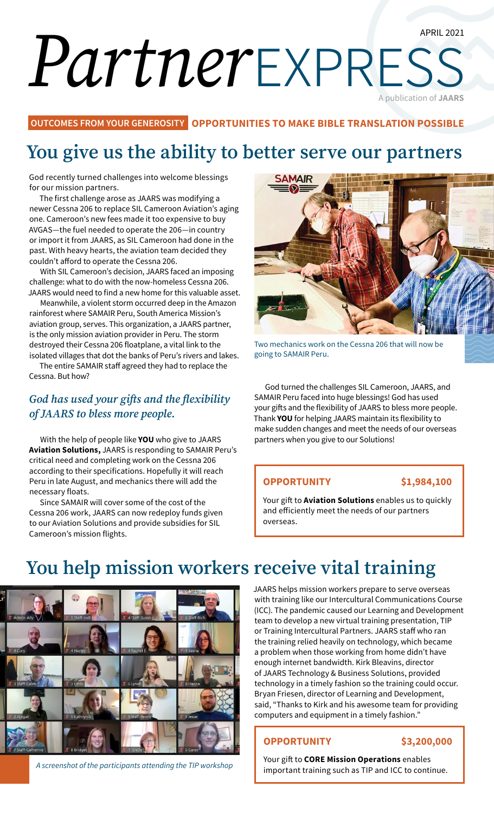#### APRIL 2021

# *Partner*express A publication of **JAARS**

**OUTCOMES FROM YOUR GENEROSITY OPPORTUNITIES TO MAKE BIBLE TRANSLATION POSSIBLE**

## **You give us the ability to better serve our partners**

God recently turned challenges into welcome blessings for our mission partners.

The first challenge arose as JAARS was modifying a newer Cessna 206 to replace SIL Cameroon Aviation's aging one. Cameroon's new fees made it too expensive to buy AVGAS—the fuel needed to operate the 206—in country or import it from JAARS, as SIL Cameroon had done in the past. With heavy hearts, the aviation team decided they couldn't afford to operate the Cessna 206.

With SIL Cameroon's decision, JAARS faced an imposing challenge: what to do with the now-homeless Cessna 206. JAARS would need to find a new home for this valuable asset.

Meanwhile, a violent storm occurred deep in the Amazon rainforest where SAMAIR Peru, South America Mission's aviation group, serves. This organization, a JAARS partner, is the only mission aviation provider in Peru. The storm destroyed their Cessna 206 floatplane, a vital link to the isolated villages that dot the banks of Peru's rivers and lakes.

The entire SAMAIR staff agreed they had to replace the Cessna. But how?

### *God has used your gifts and the flexibility of JAARS to bless more people.*

With the help of people like **YOU** who give to JAARS **Aviation Solutions,** JAARS is responding to SAMAIR Peru's critical need and completing work on the Cessna 206 according to their specifications. Hopefully it will reach Peru in late August, and mechanics there will add the necessary floats.

Since SAMAIR will cover some of the cost of the Cessna 206 work, JAARS can now redeploy funds given to our Aviation Solutions and provide subsidies for SIL Cameroon's mission flights.



Two mechanics work on the Cessna 206 that will now be going to SAMAIR Peru.

God turned the challenges SIL Cameroon, JAARS, and SAMAIR Peru faced into huge blessings! God has used your gifts and the flexibility of JAARS to bless more people. Thank **YOU** for helping JAARS maintain its flexibility to make sudden changes and meet the needs of our overseas partners when you give to our Solutions!

#### **OPPORTUNITY \$1,984,100**

Your gift to **Aviation Solutions** enables us to quickly and efficiently meet the needs of our partners overseas.

## **You help mission workers receive vital training**



*A screenshot of the participants attending the TIP workshop*

JAARS helps mission workers prepare to serve overseas with training like our Intercultural Communications Course (ICC). The pandemic caused our Learning and Development team to develop a new virtual training presentation, TIP or Training Intercultural Partners. JAARS staff who ran the training relied heavily on technology, which became a problem when those working from home didn't have enough internet bandwidth. Kirk Bleavins, director of JAARS Technology & Business Solutions, provided technology in a timely fashion so the training could occur. Bryan Friesen, director of Learning and Development, said, "Thanks to Kirk and his awesome team for providing computers and equipment in a timely fashion."

#### **OPPORTUNITY \$3,200,000**

Your gift to **CORE Mission Operations** enables important training such as TIP and ICC to continue.